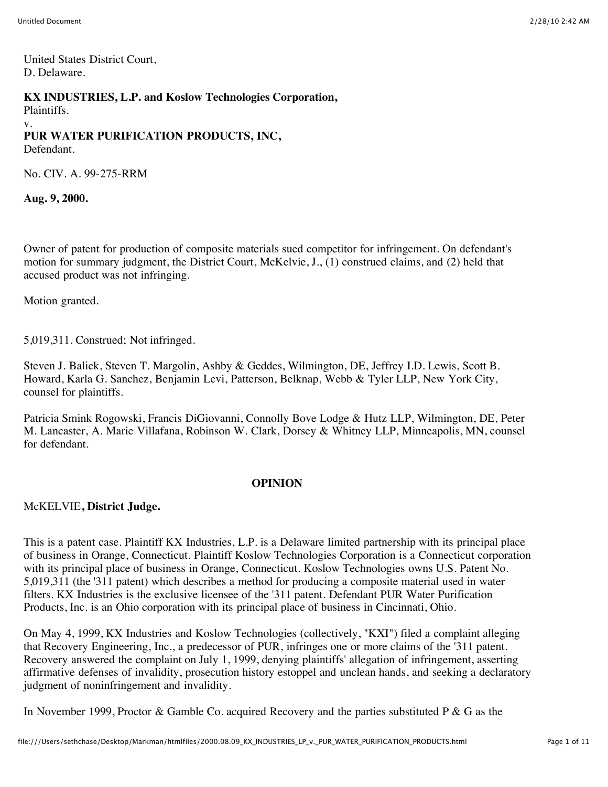United States District Court, D. Delaware.

#### **KX INDUSTRIES, L.P. and Koslow Technologies Corporation,**

Plaintiffs. v. **PUR WATER PURIFICATION PRODUCTS, INC,** Defendant.

No. CIV. A. 99-275-RRM

**Aug. 9, 2000.**

Owner of patent for production of composite materials sued competitor for infringement. On defendant's motion for summary judgment, the District Court, McKelvie, J., (1) construed claims, and (2) held that accused product was not infringing.

Motion granted.

5,019,311. Construed; Not infringed.

Steven J. Balick, Steven T. Margolin, Ashby & Geddes, Wilmington, DE, Jeffrey I.D. Lewis, Scott B. Howard, Karla G. Sanchez, Benjamin Levi, Patterson, Belknap, Webb & Tyler LLP, New York City, counsel for plaintiffs.

Patricia Smink Rogowski, Francis DiGiovanni, Connolly Bove Lodge & Hutz LLP, Wilmington, DE, Peter M. Lancaster, A. Marie Villafana, Robinson W. Clark, Dorsey & Whitney LLP, Minneapolis, MN, counsel for defendant.

#### **OPINION**

#### McKELVIE**, District Judge.**

This is a patent case. Plaintiff KX Industries, L.P. is a Delaware limited partnership with its principal place of business in Orange, Connecticut. Plaintiff Koslow Technologies Corporation is a Connecticut corporation with its principal place of business in Orange, Connecticut. Koslow Technologies owns U.S. Patent No. 5,019,311 (the '311 patent) which describes a method for producing a composite material used in water filters. KX Industries is the exclusive licensee of the '311 patent. Defendant PUR Water Purification Products, Inc. is an Ohio corporation with its principal place of business in Cincinnati, Ohio.

On May 4, 1999, KX Industries and Koslow Technologies (collectively, "KXI") filed a complaint alleging that Recovery Engineering, Inc., a predecessor of PUR, infringes one or more claims of the '311 patent. Recovery answered the complaint on July 1, 1999, denying plaintiffs' allegation of infringement, asserting affirmative defenses of invalidity, prosecution history estoppel and unclean hands, and seeking a declaratory judgment of noninfringement and invalidity.

In November 1999, Proctor & Gamble Co. acquired Recovery and the parties substituted P & G as the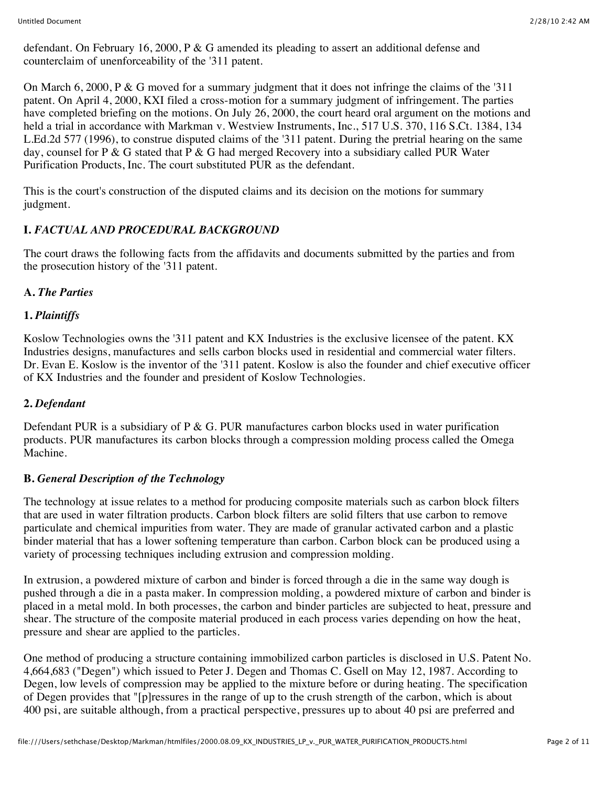defendant. On February 16, 2000, P & G amended its pleading to assert an additional defense and counterclaim of unenforceability of the '311 patent.

On March 6, 2000, P & G moved for a summary judgment that it does not infringe the claims of the '311 patent. On April 4, 2000, KXI filed a cross-motion for a summary judgment of infringement. The parties have completed briefing on the motions. On July 26, 2000, the court heard oral argument on the motions and held a trial in accordance with Markman v. Westview Instruments, Inc., 517 U.S. 370, 116 S.Ct. 1384, 134 L.Ed.2d 577 (1996), to construe disputed claims of the '311 patent. During the pretrial hearing on the same day, counsel for P & G stated that P & G had merged Recovery into a subsidiary called PUR Water Purification Products, Inc. The court substituted PUR as the defendant.

This is the court's construction of the disputed claims and its decision on the motions for summary judgment.

# **I.** *FACTUAL AND PROCEDURAL BACKGROUND*

The court draws the following facts from the affidavits and documents submitted by the parties and from the prosecution history of the '311 patent.

# **A.** *The Parties*

# **1.** *Plaintiffs*

Koslow Technologies owns the '311 patent and KX Industries is the exclusive licensee of the patent. KX Industries designs, manufactures and sells carbon blocks used in residential and commercial water filters. Dr. Evan E. Koslow is the inventor of the '311 patent. Koslow is also the founder and chief executive officer of KX Industries and the founder and president of Koslow Technologies.

# **2.** *Defendant*

Defendant PUR is a subsidiary of  $P \& G$ . PUR manufactures carbon blocks used in water purification products. PUR manufactures its carbon blocks through a compression molding process called the Omega Machine.

# **B.** *General Description of the Technology*

The technology at issue relates to a method for producing composite materials such as carbon block filters that are used in water filtration products. Carbon block filters are solid filters that use carbon to remove particulate and chemical impurities from water. They are made of granular activated carbon and a plastic binder material that has a lower softening temperature than carbon. Carbon block can be produced using a variety of processing techniques including extrusion and compression molding.

In extrusion, a powdered mixture of carbon and binder is forced through a die in the same way dough is pushed through a die in a pasta maker. In compression molding, a powdered mixture of carbon and binder is placed in a metal mold. In both processes, the carbon and binder particles are subjected to heat, pressure and shear. The structure of the composite material produced in each process varies depending on how the heat, pressure and shear are applied to the particles.

One method of producing a structure containing immobilized carbon particles is disclosed in U.S. Patent No. 4,664,683 ("Degen") which issued to Peter J. Degen and Thomas C. Gsell on May 12, 1987. According to Degen, low levels of compression may be applied to the mixture before or during heating. The specification of Degen provides that "[p]ressures in the range of up to the crush strength of the carbon, which is about 400 psi, are suitable although, from a practical perspective, pressures up to about 40 psi are preferred and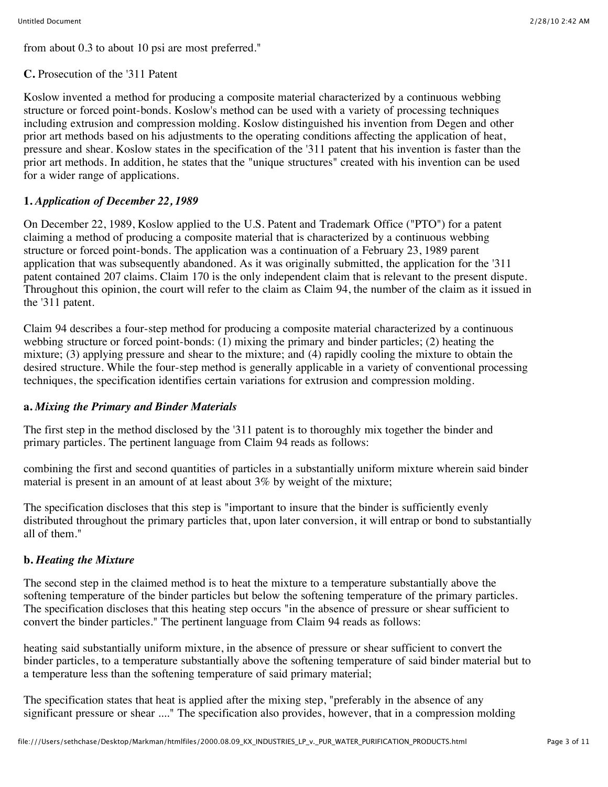from about 0.3 to about 10 psi are most preferred."

**C.** Prosecution of the '311 Patent

Koslow invented a method for producing a composite material characterized by a continuous webbing structure or forced point-bonds. Koslow's method can be used with a variety of processing techniques including extrusion and compression molding. Koslow distinguished his invention from Degen and other prior art methods based on his adjustments to the operating conditions affecting the application of heat, pressure and shear. Koslow states in the specification of the '311 patent that his invention is faster than the prior art methods. In addition, he states that the "unique structures" created with his invention can be used for a wider range of applications.

# **1.** *Application of December 22, 1989*

On December 22, 1989, Koslow applied to the U.S. Patent and Trademark Office ("PTO") for a patent claiming a method of producing a composite material that is characterized by a continuous webbing structure or forced point-bonds. The application was a continuation of a February 23, 1989 parent application that was subsequently abandoned. As it was originally submitted, the application for the '311 patent contained 207 claims. Claim 170 is the only independent claim that is relevant to the present dispute. Throughout this opinion, the court will refer to the claim as Claim 94, the number of the claim as it issued in the '311 patent.

Claim 94 describes a four-step method for producing a composite material characterized by a continuous webbing structure or forced point-bonds: (1) mixing the primary and binder particles; (2) heating the mixture; (3) applying pressure and shear to the mixture; and (4) rapidly cooling the mixture to obtain the desired structure. While the four-step method is generally applicable in a variety of conventional processing techniques, the specification identifies certain variations for extrusion and compression molding.

#### **a.** *Mixing the Primary and Binder Materials*

The first step in the method disclosed by the '311 patent is to thoroughly mix together the binder and primary particles. The pertinent language from Claim 94 reads as follows:

combining the first and second quantities of particles in a substantially uniform mixture wherein said binder material is present in an amount of at least about 3% by weight of the mixture;

The specification discloses that this step is "important to insure that the binder is sufficiently evenly distributed throughout the primary particles that, upon later conversion, it will entrap or bond to substantially all of them."

# **b.** *Heating the Mixture*

The second step in the claimed method is to heat the mixture to a temperature substantially above the softening temperature of the binder particles but below the softening temperature of the primary particles. The specification discloses that this heating step occurs "in the absence of pressure or shear sufficient to convert the binder particles." The pertinent language from Claim 94 reads as follows:

heating said substantially uniform mixture, in the absence of pressure or shear sufficient to convert the binder particles, to a temperature substantially above the softening temperature of said binder material but to a temperature less than the softening temperature of said primary material;

The specification states that heat is applied after the mixing step, "preferably in the absence of any significant pressure or shear ...." The specification also provides, however, that in a compression molding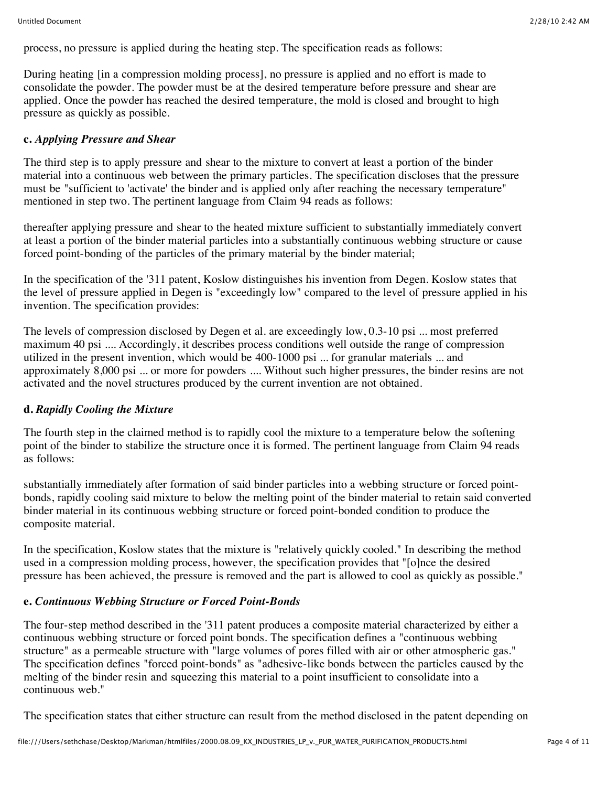process, no pressure is applied during the heating step. The specification reads as follows:

During heating [in a compression molding process], no pressure is applied and no effort is made to consolidate the powder. The powder must be at the desired temperature before pressure and shear are applied. Once the powder has reached the desired temperature, the mold is closed and brought to high pressure as quickly as possible.

#### **c.** *Applying Pressure and Shear*

The third step is to apply pressure and shear to the mixture to convert at least a portion of the binder material into a continuous web between the primary particles. The specification discloses that the pressure must be "sufficient to 'activate' the binder and is applied only after reaching the necessary temperature" mentioned in step two. The pertinent language from Claim 94 reads as follows:

thereafter applying pressure and shear to the heated mixture sufficient to substantially immediately convert at least a portion of the binder material particles into a substantially continuous webbing structure or cause forced point-bonding of the particles of the primary material by the binder material;

In the specification of the '311 patent, Koslow distinguishes his invention from Degen. Koslow states that the level of pressure applied in Degen is "exceedingly low" compared to the level of pressure applied in his invention. The specification provides:

The levels of compression disclosed by Degen et al. are exceedingly low, 0.3-10 psi ... most preferred maximum 40 psi .... Accordingly, it describes process conditions well outside the range of compression utilized in the present invention, which would be 400-1000 psi ... for granular materials ... and approximately 8,000 psi ... or more for powders .... Without such higher pressures, the binder resins are not activated and the novel structures produced by the current invention are not obtained.

#### **d.** *Rapidly Cooling the Mixture*

The fourth step in the claimed method is to rapidly cool the mixture to a temperature below the softening point of the binder to stabilize the structure once it is formed. The pertinent language from Claim 94 reads as follows:

substantially immediately after formation of said binder particles into a webbing structure or forced pointbonds, rapidly cooling said mixture to below the melting point of the binder material to retain said converted binder material in its continuous webbing structure or forced point-bonded condition to produce the composite material.

In the specification, Koslow states that the mixture is "relatively quickly cooled." In describing the method used in a compression molding process, however, the specification provides that "[o]nce the desired pressure has been achieved, the pressure is removed and the part is allowed to cool as quickly as possible."

#### **e.** *Continuous Webbing Structure or Forced Point-Bonds*

The four-step method described in the '311 patent produces a composite material characterized by either a continuous webbing structure or forced point bonds. The specification defines a "continuous webbing structure" as a permeable structure with "large volumes of pores filled with air or other atmospheric gas." The specification defines "forced point-bonds" as "adhesive-like bonds between the particles caused by the melting of the binder resin and squeezing this material to a point insufficient to consolidate into a continuous web."

The specification states that either structure can result from the method disclosed in the patent depending on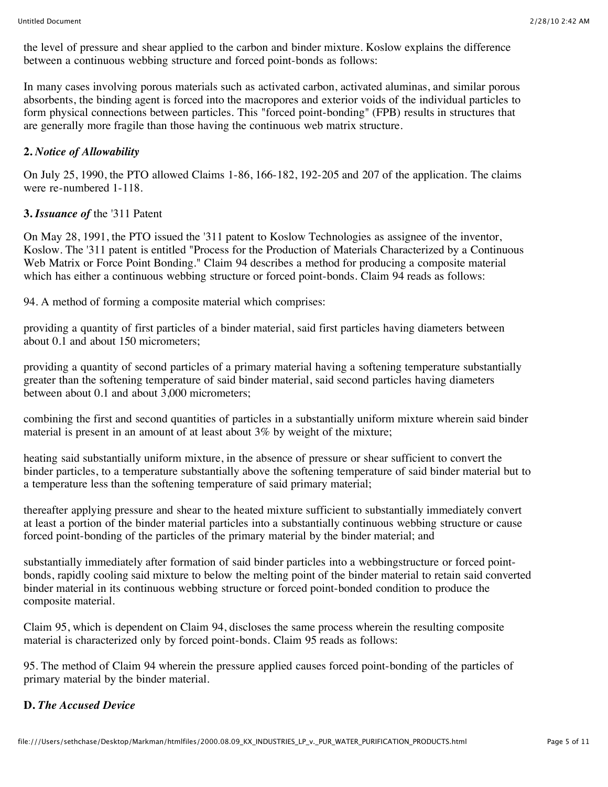the level of pressure and shear applied to the carbon and binder mixture. Koslow explains the difference between a continuous webbing structure and forced point-bonds as follows:

In many cases involving porous materials such as activated carbon, activated aluminas, and similar porous absorbents, the binding agent is forced into the macropores and exterior voids of the individual particles to form physical connections between particles. This "forced point-bonding" (FPB) results in structures that are generally more fragile than those having the continuous web matrix structure.

### **2.** *Notice of Allowability*

On July 25, 1990, the PTO allowed Claims 1-86, 166-182, 192-205 and 207 of the application. The claims were re-numbered 1-118.

### **3.** *Issuance of* the '311 Patent

On May 28, 1991, the PTO issued the '311 patent to Koslow Technologies as assignee of the inventor, Koslow. The '311 patent is entitled "Process for the Production of Materials Characterized by a Continuous Web Matrix or Force Point Bonding." Claim 94 describes a method for producing a composite material which has either a continuous webbing structure or forced point-bonds. Claim 94 reads as follows:

94. A method of forming a composite material which comprises:

providing a quantity of first particles of a binder material, said first particles having diameters between about 0.1 and about 150 micrometers;

providing a quantity of second particles of a primary material having a softening temperature substantially greater than the softening temperature of said binder material, said second particles having diameters between about 0.1 and about 3,000 micrometers;

combining the first and second quantities of particles in a substantially uniform mixture wherein said binder material is present in an amount of at least about 3% by weight of the mixture;

heating said substantially uniform mixture, in the absence of pressure or shear sufficient to convert the binder particles, to a temperature substantially above the softening temperature of said binder material but to a temperature less than the softening temperature of said primary material;

thereafter applying pressure and shear to the heated mixture sufficient to substantially immediately convert at least a portion of the binder material particles into a substantially continuous webbing structure or cause forced point-bonding of the particles of the primary material by the binder material; and

substantially immediately after formation of said binder particles into a webbingstructure or forced pointbonds, rapidly cooling said mixture to below the melting point of the binder material to retain said converted binder material in its continuous webbing structure or forced point-bonded condition to produce the composite material.

Claim 95, which is dependent on Claim 94, discloses the same process wherein the resulting composite material is characterized only by forced point-bonds. Claim 95 reads as follows:

95. The method of Claim 94 wherein the pressure applied causes forced point-bonding of the particles of primary material by the binder material.

#### **D.** *The Accused Device*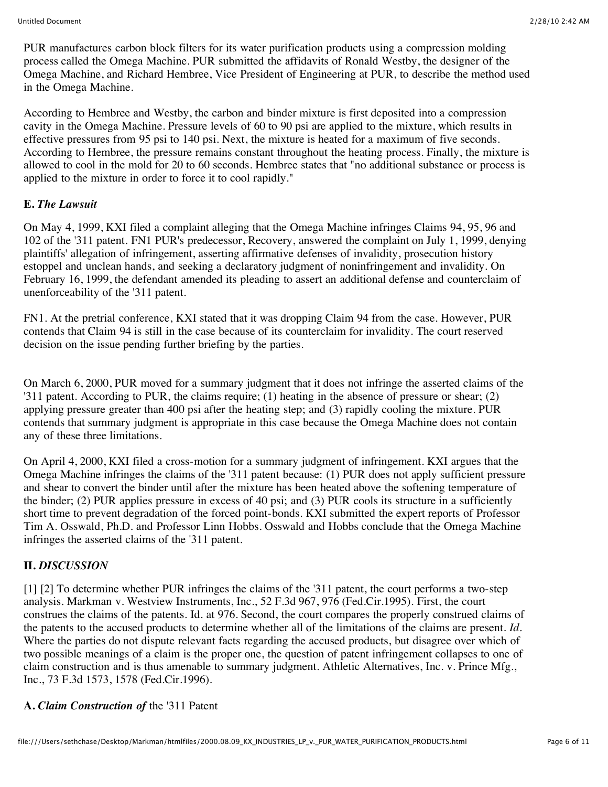PUR manufactures carbon block filters for its water purification products using a compression molding process called the Omega Machine. PUR submitted the affidavits of Ronald Westby, the designer of the Omega Machine, and Richard Hembree, Vice President of Engineering at PUR, to describe the method used in the Omega Machine.

According to Hembree and Westby, the carbon and binder mixture is first deposited into a compression cavity in the Omega Machine. Pressure levels of 60 to 90 psi are applied to the mixture, which results in effective pressures from 95 psi to 140 psi. Next, the mixture is heated for a maximum of five seconds. According to Hembree, the pressure remains constant throughout the heating process. Finally, the mixture is allowed to cool in the mold for 20 to 60 seconds. Hembree states that "no additional substance or process is applied to the mixture in order to force it to cool rapidly."

# **E.** *The Lawsuit*

On May 4, 1999, KXI filed a complaint alleging that the Omega Machine infringes Claims 94, 95, 96 and 102 of the '311 patent. FN1 PUR's predecessor, Recovery, answered the complaint on July 1, 1999, denying plaintiffs' allegation of infringement, asserting affirmative defenses of invalidity, prosecution history estoppel and unclean hands, and seeking a declaratory judgment of noninfringement and invalidity. On February 16, 1999, the defendant amended its pleading to assert an additional defense and counterclaim of unenforceability of the '311 patent.

FN1. At the pretrial conference, KXI stated that it was dropping Claim 94 from the case. However, PUR contends that Claim 94 is still in the case because of its counterclaim for invalidity. The court reserved decision on the issue pending further briefing by the parties.

On March 6, 2000, PUR moved for a summary judgment that it does not infringe the asserted claims of the '311 patent. According to PUR, the claims require; (1) heating in the absence of pressure or shear; (2) applying pressure greater than 400 psi after the heating step; and (3) rapidly cooling the mixture. PUR contends that summary judgment is appropriate in this case because the Omega Machine does not contain any of these three limitations.

On April 4, 2000, KXI filed a cross-motion for a summary judgment of infringement. KXI argues that the Omega Machine infringes the claims of the '311 patent because: (1) PUR does not apply sufficient pressure and shear to convert the binder until after the mixture has been heated above the softening temperature of the binder; (2) PUR applies pressure in excess of 40 psi; and (3) PUR cools its structure in a sufficiently short time to prevent degradation of the forced point-bonds. KXI submitted the expert reports of Professor Tim A. Osswald, Ph.D. and Professor Linn Hobbs. Osswald and Hobbs conclude that the Omega Machine infringes the asserted claims of the '311 patent.

# **II.** *DISCUSSION*

[1] [2] To determine whether PUR infringes the claims of the '311 patent, the court performs a two-step analysis. Markman v. Westview Instruments, Inc., 52 F.3d 967, 976 (Fed.Cir.1995). First, the court construes the claims of the patents. Id. at 976. Second, the court compares the properly construed claims of the patents to the accused products to determine whether all of the limitations of the claims are present. *Id.* Where the parties do not dispute relevant facts regarding the accused products, but disagree over which of two possible meanings of a claim is the proper one, the question of patent infringement collapses to one of claim construction and is thus amenable to summary judgment. Athletic Alternatives, Inc. v. Prince Mfg., Inc., 73 F.3d 1573, 1578 (Fed.Cir.1996).

# **A.** *Claim Construction of* the '311 Patent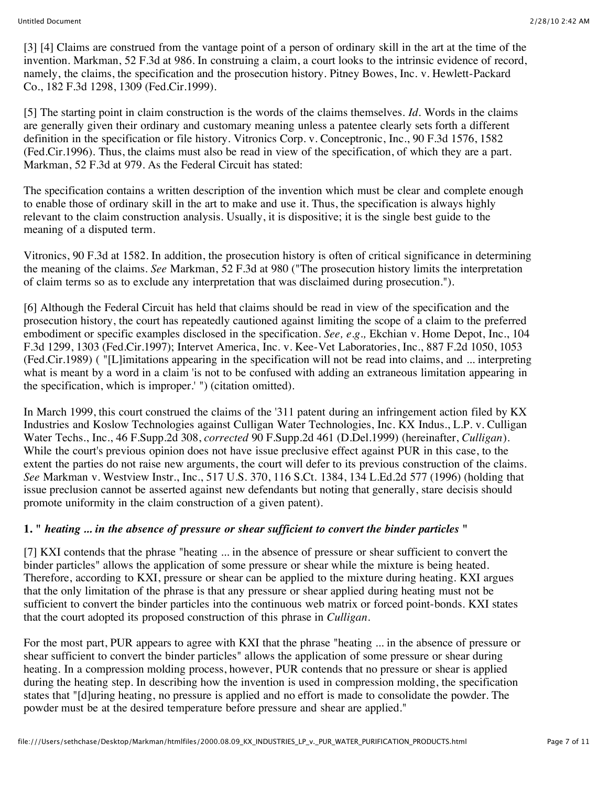[3] [4] Claims are construed from the vantage point of a person of ordinary skill in the art at the time of the invention. Markman, 52 F.3d at 986. In construing a claim, a court looks to the intrinsic evidence of record, namely, the claims, the specification and the prosecution history. Pitney Bowes, Inc. v. Hewlett-Packard Co., 182 F.3d 1298, 1309 (Fed.Cir.1999).

[5] The starting point in claim construction is the words of the claims themselves. *Id.* Words in the claims are generally given their ordinary and customary meaning unless a patentee clearly sets forth a different definition in the specification or file history. Vitronics Corp. v. Conceptronic, Inc., 90 F.3d 1576, 1582 (Fed.Cir.1996). Thus, the claims must also be read in view of the specification, of which they are a part. Markman, 52 F.3d at 979. As the Federal Circuit has stated:

The specification contains a written description of the invention which must be clear and complete enough to enable those of ordinary skill in the art to make and use it. Thus, the specification is always highly relevant to the claim construction analysis. Usually, it is dispositive; it is the single best guide to the meaning of a disputed term.

Vitronics, 90 F.3d at 1582. In addition, the prosecution history is often of critical significance in determining the meaning of the claims. *See* Markman, 52 F.3d at 980 ("The prosecution history limits the interpretation of claim terms so as to exclude any interpretation that was disclaimed during prosecution.").

[6] Although the Federal Circuit has held that claims should be read in view of the specification and the prosecution history, the court has repeatedly cautioned against limiting the scope of a claim to the preferred embodiment or specific examples disclosed in the specification. *See, e.g.,* Ekchian v. Home Depot, Inc., 104 F.3d 1299, 1303 (Fed.Cir.1997); Intervet America, Inc. v. Kee-Vet Laboratories, Inc., 887 F.2d 1050, 1053 (Fed.Cir.1989) ( "[L]imitations appearing in the specification will not be read into claims, and ... interpreting what is meant by a word in a claim 'is not to be confused with adding an extraneous limitation appearing in the specification, which is improper.' ") (citation omitted).

In March 1999, this court construed the claims of the '311 patent during an infringement action filed by KX Industries and Koslow Technologies against Culligan Water Technologies, Inc. KX Indus., L.P. v. Culligan Water Techs., Inc., 46 F.Supp.2d 308, *corrected* 90 F.Supp.2d 461 (D.Del.1999) (hereinafter, *Culligan*). While the court's previous opinion does not have issue preclusive effect against PUR in this case, to the extent the parties do not raise new arguments, the court will defer to its previous construction of the claims. *See* Markman v. Westview Instr., Inc., 517 U.S. 370, 116 S.Ct. 1384, 134 L.Ed.2d 577 (1996) (holding that issue preclusion cannot be asserted against new defendants but noting that generally, stare decisis should promote uniformity in the claim construction of a given patent).

# **1. "** *heating ... in the absence of pressure or shear sufficient to convert the binder particles* **"**

[7] KXI contends that the phrase "heating ... in the absence of pressure or shear sufficient to convert the binder particles" allows the application of some pressure or shear while the mixture is being heated. Therefore, according to KXI, pressure or shear can be applied to the mixture during heating. KXI argues that the only limitation of the phrase is that any pressure or shear applied during heating must not be sufficient to convert the binder particles into the continuous web matrix or forced point-bonds. KXI states that the court adopted its proposed construction of this phrase in *Culligan.*

For the most part, PUR appears to agree with KXI that the phrase "heating ... in the absence of pressure or shear sufficient to convert the binder particles" allows the application of some pressure or shear during heating. In a compression molding process, however, PUR contends that no pressure or shear is applied during the heating step. In describing how the invention is used in compression molding, the specification states that "[d]uring heating, no pressure is applied and no effort is made to consolidate the powder. The powder must be at the desired temperature before pressure and shear are applied."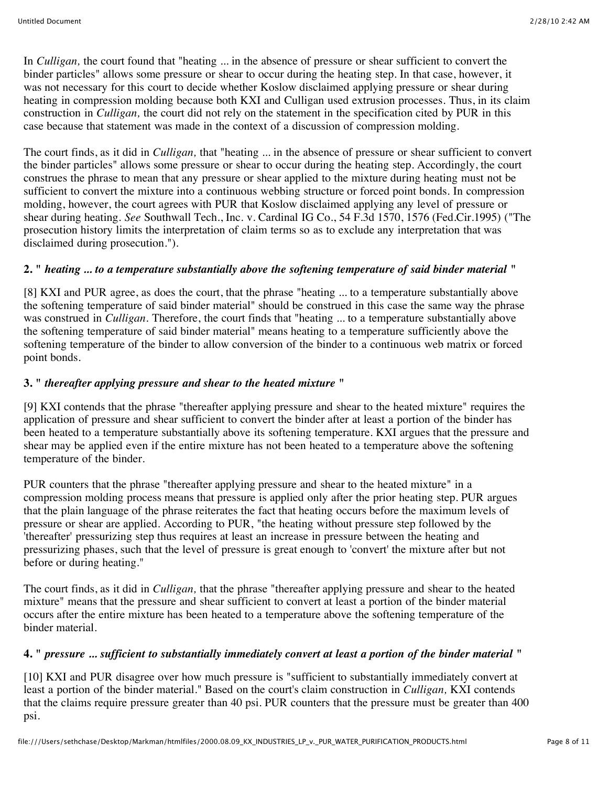In *Culligan*, the court found that "heating ... in the absence of pressure or shear sufficient to convert the binder particles" allows some pressure or shear to occur during the heating step. In that case, however, it was not necessary for this court to decide whether Koslow disclaimed applying pressure or shear during heating in compression molding because both KXI and Culligan used extrusion processes. Thus, in its claim construction in *Culligan,* the court did not rely on the statement in the specification cited by PUR in this case because that statement was made in the context of a discussion of compression molding.

The court finds, as it did in *Culligan,* that "heating ... in the absence of pressure or shear sufficient to convert the binder particles" allows some pressure or shear to occur during the heating step. Accordingly, the court construes the phrase to mean that any pressure or shear applied to the mixture during heating must not be sufficient to convert the mixture into a continuous webbing structure or forced point bonds. In compression molding, however, the court agrees with PUR that Koslow disclaimed applying any level of pressure or shear during heating. *See* Southwall Tech., Inc. v. Cardinal IG Co., 54 F.3d 1570, 1576 (Fed.Cir.1995) ("The prosecution history limits the interpretation of claim terms so as to exclude any interpretation that was disclaimed during prosecution.").

### **2. "** *heating ... to a temperature substantially above the softening temperature of said binder material* **"**

[8] KXI and PUR agree, as does the court, that the phrase "heating ... to a temperature substantially above the softening temperature of said binder material" should be construed in this case the same way the phrase was construed in *Culligan.* Therefore, the court finds that "heating ... to a temperature substantially above the softening temperature of said binder material" means heating to a temperature sufficiently above the softening temperature of the binder to allow conversion of the binder to a continuous web matrix or forced point bonds.

#### **3. "** *thereafter applying pressure and shear to the heated mixture* **"**

[9] KXI contends that the phrase "thereafter applying pressure and shear to the heated mixture" requires the application of pressure and shear sufficient to convert the binder after at least a portion of the binder has been heated to a temperature substantially above its softening temperature. KXI argues that the pressure and shear may be applied even if the entire mixture has not been heated to a temperature above the softening temperature of the binder.

PUR counters that the phrase "thereafter applying pressure and shear to the heated mixture" in a compression molding process means that pressure is applied only after the prior heating step. PUR argues that the plain language of the phrase reiterates the fact that heating occurs before the maximum levels of pressure or shear are applied. According to PUR, "the heating without pressure step followed by the 'thereafter' pressurizing step thus requires at least an increase in pressure between the heating and pressurizing phases, such that the level of pressure is great enough to 'convert' the mixture after but not before or during heating."

The court finds, as it did in *Culligan,* that the phrase "thereafter applying pressure and shear to the heated mixture" means that the pressure and shear sufficient to convert at least a portion of the binder material occurs after the entire mixture has been heated to a temperature above the softening temperature of the binder material.

#### **4. "** *pressure ... sufficient to substantially immediately convert at least a portion of the binder material* **"**

[10] KXI and PUR disagree over how much pressure is "sufficient to substantially immediately convert at least a portion of the binder material." Based on the court's claim construction in *Culligan,* KXI contends that the claims require pressure greater than 40 psi. PUR counters that the pressure must be greater than 400 psi.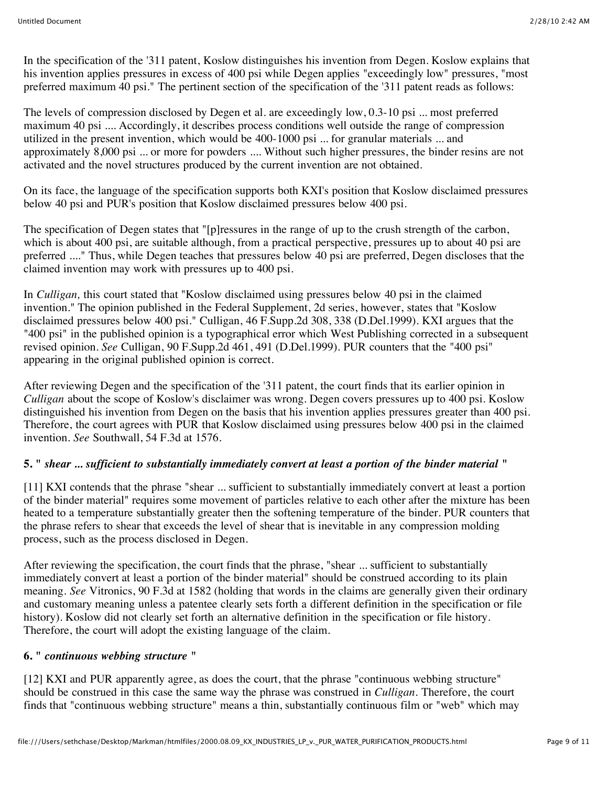In the specification of the '311 patent, Koslow distinguishes his invention from Degen. Koslow explains that his invention applies pressures in excess of 400 psi while Degen applies "exceedingly low" pressures, "most preferred maximum 40 psi." The pertinent section of the specification of the '311 patent reads as follows:

The levels of compression disclosed by Degen et al. are exceedingly low, 0.3-10 psi ... most preferred maximum 40 psi .... Accordingly, it describes process conditions well outside the range of compression utilized in the present invention, which would be 400-1000 psi ... for granular materials ... and approximately 8,000 psi ... or more for powders .... Without such higher pressures, the binder resins are not activated and the novel structures produced by the current invention are not obtained.

On its face, the language of the specification supports both KXI's position that Koslow disclaimed pressures below 40 psi and PUR's position that Koslow disclaimed pressures below 400 psi.

The specification of Degen states that "[p]ressures in the range of up to the crush strength of the carbon, which is about 400 psi, are suitable although, from a practical perspective, pressures up to about 40 psi are preferred ...." Thus, while Degen teaches that pressures below 40 psi are preferred, Degen discloses that the claimed invention may work with pressures up to 400 psi.

In *Culligan,* this court stated that "Koslow disclaimed using pressures below 40 psi in the claimed invention." The opinion published in the Federal Supplement, 2d series, however, states that "Koslow disclaimed pressures below 400 psi." Culligan, 46 F.Supp.2d 308, 338 (D.Del.1999). KXI argues that the "400 psi" in the published opinion is a typographical error which West Publishing corrected in a subsequent revised opinion. *See* Culligan, 90 F.Supp.2d 461, 491 (D.Del.1999). PUR counters that the "400 psi" appearing in the original published opinion is correct.

After reviewing Degen and the specification of the '311 patent, the court finds that its earlier opinion in *Culligan* about the scope of Koslow's disclaimer was wrong. Degen covers pressures up to 400 psi. Koslow distinguished his invention from Degen on the basis that his invention applies pressures greater than 400 psi. Therefore, the court agrees with PUR that Koslow disclaimed using pressures below 400 psi in the claimed invention. *See* Southwall, 54 F.3d at 1576.

# **5. "** *shear ... sufficient to substantially immediately convert at least a portion of the binder material* **"**

[11] KXI contends that the phrase "shear ... sufficient to substantially immediately convert at least a portion of the binder material" requires some movement of particles relative to each other after the mixture has been heated to a temperature substantially greater then the softening temperature of the binder. PUR counters that the phrase refers to shear that exceeds the level of shear that is inevitable in any compression molding process, such as the process disclosed in Degen.

After reviewing the specification, the court finds that the phrase, "shear ... sufficient to substantially immediately convert at least a portion of the binder material" should be construed according to its plain meaning. *See* Vitronics, 90 F.3d at 1582 (holding that words in the claims are generally given their ordinary and customary meaning unless a patentee clearly sets forth a different definition in the specification or file history). Koslow did not clearly set forth an alternative definition in the specification or file history. Therefore, the court will adopt the existing language of the claim.

### **6. "** *continuous webbing structure* **"**

[12] KXI and PUR apparently agree, as does the court, that the phrase "continuous webbing structure" should be construed in this case the same way the phrase was construed in *Culligan.* Therefore, the court finds that "continuous webbing structure" means a thin, substantially continuous film or "web" which may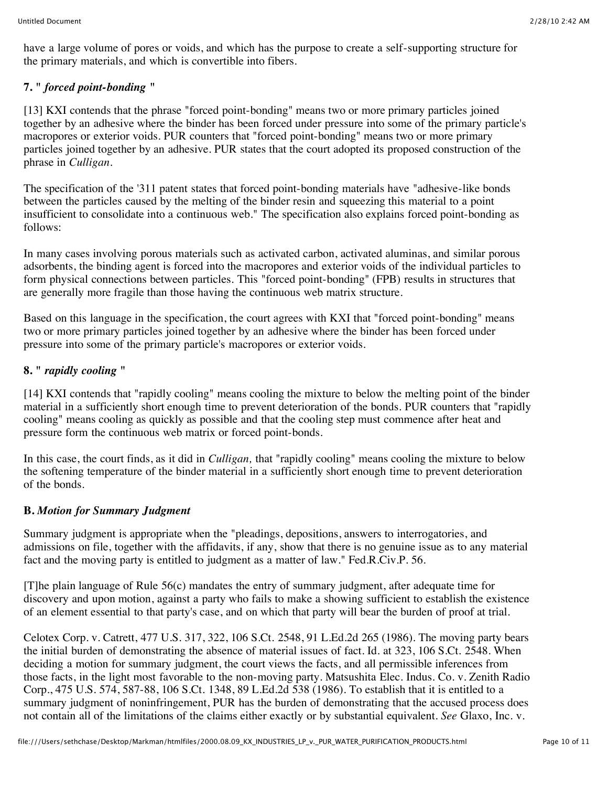have a large volume of pores or voids, and which has the purpose to create a self-supporting structure for the primary materials, and which is convertible into fibers.

# **7. "** *forced point-bonding* **"**

[13] KXI contends that the phrase "forced point-bonding" means two or more primary particles joined together by an adhesive where the binder has been forced under pressure into some of the primary particle's macropores or exterior voids. PUR counters that "forced point-bonding" means two or more primary particles joined together by an adhesive. PUR states that the court adopted its proposed construction of the phrase in *Culligan.*

The specification of the '311 patent states that forced point-bonding materials have "adhesive-like bonds between the particles caused by the melting of the binder resin and squeezing this material to a point insufficient to consolidate into a continuous web." The specification also explains forced point-bonding as follows:

In many cases involving porous materials such as activated carbon, activated aluminas, and similar porous adsorbents, the binding agent is forced into the macropores and exterior voids of the individual particles to form physical connections between particles. This "forced point-bonding" (FPB) results in structures that are generally more fragile than those having the continuous web matrix structure.

Based on this language in the specification, the court agrees with KXI that "forced point-bonding" means two or more primary particles joined together by an adhesive where the binder has been forced under pressure into some of the primary particle's macropores or exterior voids.

# **8. "** *rapidly cooling* **"**

[14] KXI contends that "rapidly cooling" means cooling the mixture to below the melting point of the binder material in a sufficiently short enough time to prevent deterioration of the bonds. PUR counters that "rapidly cooling" means cooling as quickly as possible and that the cooling step must commence after heat and pressure form the continuous web matrix or forced point-bonds.

In this case, the court finds, as it did in *Culligan,* that "rapidly cooling" means cooling the mixture to below the softening temperature of the binder material in a sufficiently short enough time to prevent deterioration of the bonds.

#### **B.** *Motion for Summary Judgment*

Summary judgment is appropriate when the "pleadings, depositions, answers to interrogatories, and admissions on file, together with the affidavits, if any, show that there is no genuine issue as to any material fact and the moving party is entitled to judgment as a matter of law." Fed.R.Civ.P. 56.

[T]he plain language of Rule 56(c) mandates the entry of summary judgment, after adequate time for discovery and upon motion, against a party who fails to make a showing sufficient to establish the existence of an element essential to that party's case, and on which that party will bear the burden of proof at trial.

Celotex Corp. v. Catrett, 477 U.S. 317, 322, 106 S.Ct. 2548, 91 L.Ed.2d 265 (1986). The moving party bears the initial burden of demonstrating the absence of material issues of fact. Id. at 323, 106 S.Ct. 2548. When deciding a motion for summary judgment, the court views the facts, and all permissible inferences from those facts, in the light most favorable to the non-moving party. Matsushita Elec. Indus. Co. v. Zenith Radio Corp., 475 U.S. 574, 587-88, 106 S.Ct. 1348, 89 L.Ed.2d 538 (1986). To establish that it is entitled to a summary judgment of noninfringement, PUR has the burden of demonstrating that the accused process does not contain all of the limitations of the claims either exactly or by substantial equivalent. *See* Glaxo, Inc. v.